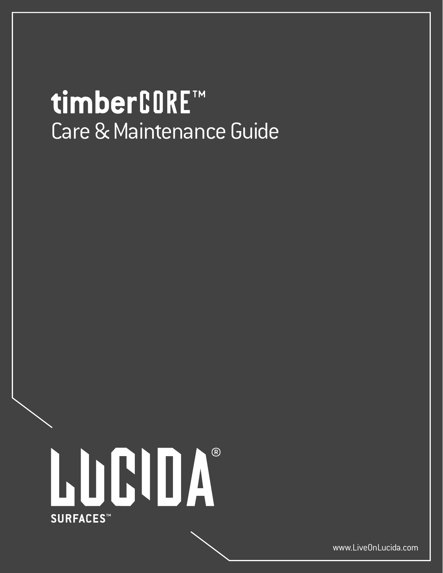# timberCORE™ Care & Maintenance Guide



www.LiveOnLucida.com